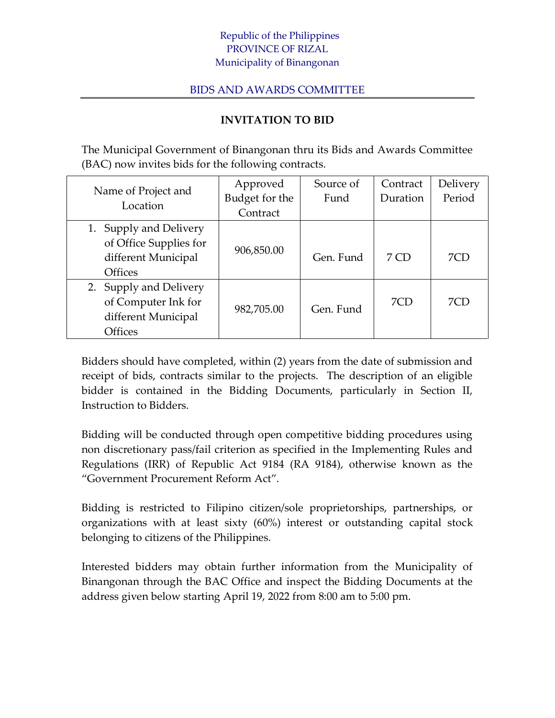## Republic of the Philippines PROVINCE OF RIZAL Municipality of Binangonan

## BIDS AND AWARDS COMMITTEE

## **INVITATION TO BID**

The Municipal Government of Binangonan thru its Bids and Awards Committee (BAC) now invites bids for the following contracts.

| Name of Project and<br>Location | Approved       | Source of | Contract | Delivery |
|---------------------------------|----------------|-----------|----------|----------|
|                                 | Budget for the | Fund      | Duration | Period   |
|                                 | Contract       |           |          |          |
| 1. Supply and Delivery          |                |           |          |          |
| of Office Supplies for          | 906,850.00     |           |          |          |
| different Municipal             |                | Gen. Fund | 7 CD     | 7CD      |
| <b>Offices</b>                  |                |           |          |          |
| 2. Supply and Delivery          |                |           |          |          |
| of Computer Ink for             | 982,705.00     | Gen. Fund | 7CD      | 7CD      |
| different Municipal             |                |           |          |          |
| <b>Offices</b>                  |                |           |          |          |

Bidders should have completed, within (2) years from the date of submission and receipt of bids, contracts similar to the projects. The description of an eligible bidder is contained in the Bidding Documents, particularly in Section II, Instruction to Bidders.

Bidding will be conducted through open competitive bidding procedures using non discretionary pass/fail criterion as specified in the Implementing Rules and Regulations (IRR) of Republic Act 9184 (RA 9184), otherwise known as the "Government Procurement Reform Act".

Bidding is restricted to Filipino citizen/sole proprietorships, partnerships, or organizations with at least sixty (60%) interest or outstanding capital stock belonging to citizens of the Philippines.

Interested bidders may obtain further information from the Municipality of Binangonan through the BAC Office and inspect the Bidding Documents at the address given below starting April 19, 2022 from 8:00 am to 5:00 pm.